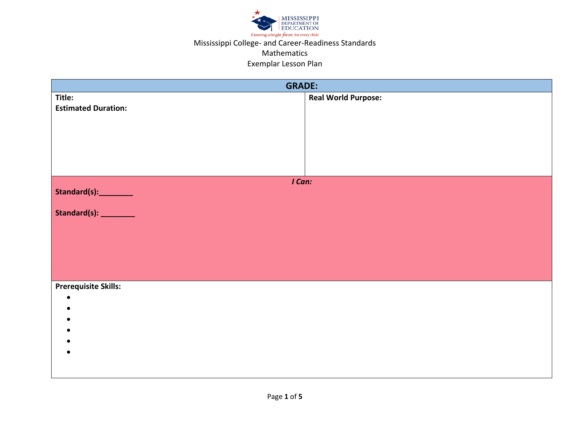

## Mississippi College- and Career-Readiness Standards

#### Mathematics

#### Exemplar Lesson Plan

| <b>GRADE:</b>               |                            |  |
|-----------------------------|----------------------------|--|
| Title:                      | <b>Real World Purpose:</b> |  |
| <b>Estimated Duration:</b>  |                            |  |
|                             |                            |  |
|                             |                            |  |
|                             |                            |  |
|                             |                            |  |
|                             |                            |  |
|                             |                            |  |
| I Can:                      |                            |  |
| Standard(s):_________       |                            |  |
| Standard(s): _________      |                            |  |
|                             |                            |  |
|                             |                            |  |
|                             |                            |  |
|                             |                            |  |
|                             |                            |  |
|                             |                            |  |
| <b>Prerequisite Skills:</b> |                            |  |
| $\bullet$                   |                            |  |
|                             |                            |  |
|                             |                            |  |
|                             |                            |  |
|                             |                            |  |
|                             |                            |  |
|                             |                            |  |
|                             |                            |  |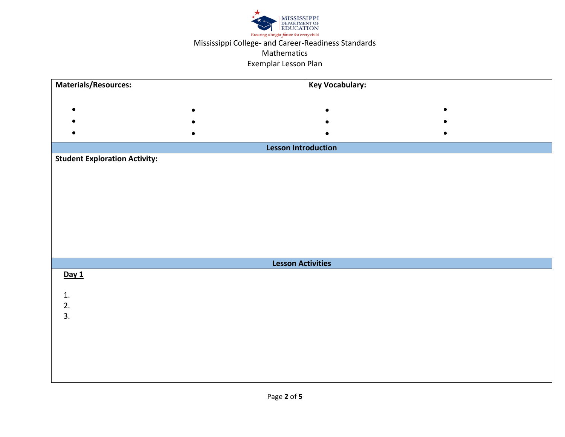

### Exemplar Lesson Plan

| <b>Materials/Resources:</b>          | <b>Key Vocabulary:</b> |  |
|--------------------------------------|------------------------|--|
|                                      |                        |  |
| $\bullet$<br>$\bullet$               | $\bullet$<br>$\bullet$ |  |
| $\bullet$                            | $\bullet$              |  |
| $\bullet$                            |                        |  |
| <b>Lesson Introduction</b>           |                        |  |
| <b>Student Exploration Activity:</b> |                        |  |
|                                      |                        |  |
|                                      |                        |  |
|                                      |                        |  |
|                                      |                        |  |
|                                      |                        |  |
|                                      |                        |  |
|                                      |                        |  |
| <b>Lesson Activities</b>             |                        |  |
| Day 1                                |                        |  |
|                                      |                        |  |
| $1.$                                 |                        |  |
| 2.<br>3.                             |                        |  |
|                                      |                        |  |
|                                      |                        |  |
|                                      |                        |  |
|                                      |                        |  |
|                                      |                        |  |
|                                      |                        |  |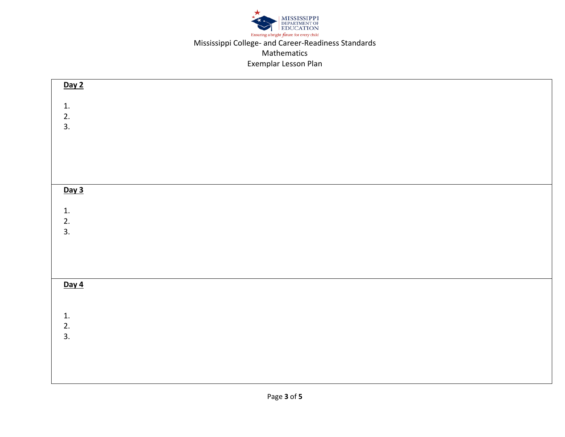

| Day 2           |  |  |
|-----------------|--|--|
| 1.              |  |  |
| $\frac{2}{3}$ . |  |  |
|                 |  |  |
|                 |  |  |
|                 |  |  |
| Day 3           |  |  |
|                 |  |  |
| 1.<br>2.<br>3.  |  |  |
|                 |  |  |
|                 |  |  |
|                 |  |  |
| Day 4           |  |  |
|                 |  |  |
|                 |  |  |
| 1.<br>2.<br>3.  |  |  |
|                 |  |  |
|                 |  |  |
|                 |  |  |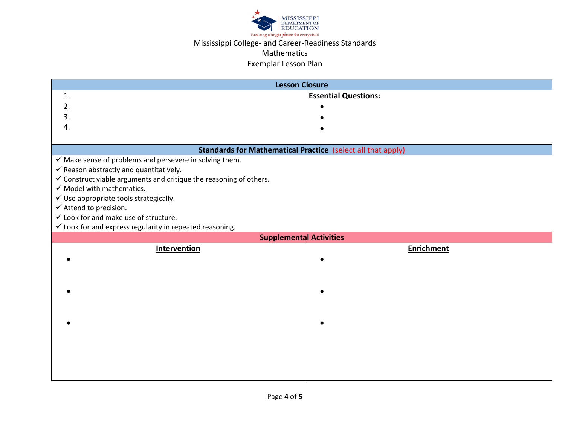

# Mississippi College- and Career-Readiness Standards

### Mathematics

### Exemplar Lesson Plan

| <b>Lesson Closure</b>                                                         |                             |  |
|-------------------------------------------------------------------------------|-----------------------------|--|
| 1.                                                                            | <b>Essential Questions:</b> |  |
| 2.                                                                            |                             |  |
| 3.                                                                            |                             |  |
| 4.                                                                            |                             |  |
|                                                                               |                             |  |
| <b>Standards for Mathematical Practice (select all that apply)</b>            |                             |  |
| $\checkmark$ Make sense of problems and persevere in solving them.            |                             |  |
| $\checkmark$ Reason abstractly and quantitatively.                            |                             |  |
| $\checkmark$ Construct viable arguments and critique the reasoning of others. |                             |  |
| $\checkmark$ Model with mathematics.                                          |                             |  |
| $\checkmark$ Use appropriate tools strategically.                             |                             |  |
| $\checkmark$ Attend to precision.                                             |                             |  |
| $\checkmark$ Look for and make use of structure.                              |                             |  |
| $\checkmark$ Look for and express regularity in repeated reasoning.           |                             |  |
| <b>Supplemental Activities</b>                                                |                             |  |
| <b>Intervention</b>                                                           | <b>Enrichment</b>           |  |
|                                                                               |                             |  |
|                                                                               |                             |  |
|                                                                               |                             |  |
|                                                                               |                             |  |
|                                                                               |                             |  |
|                                                                               |                             |  |
|                                                                               |                             |  |
|                                                                               |                             |  |
|                                                                               |                             |  |
|                                                                               |                             |  |
|                                                                               |                             |  |
|                                                                               |                             |  |
|                                                                               |                             |  |